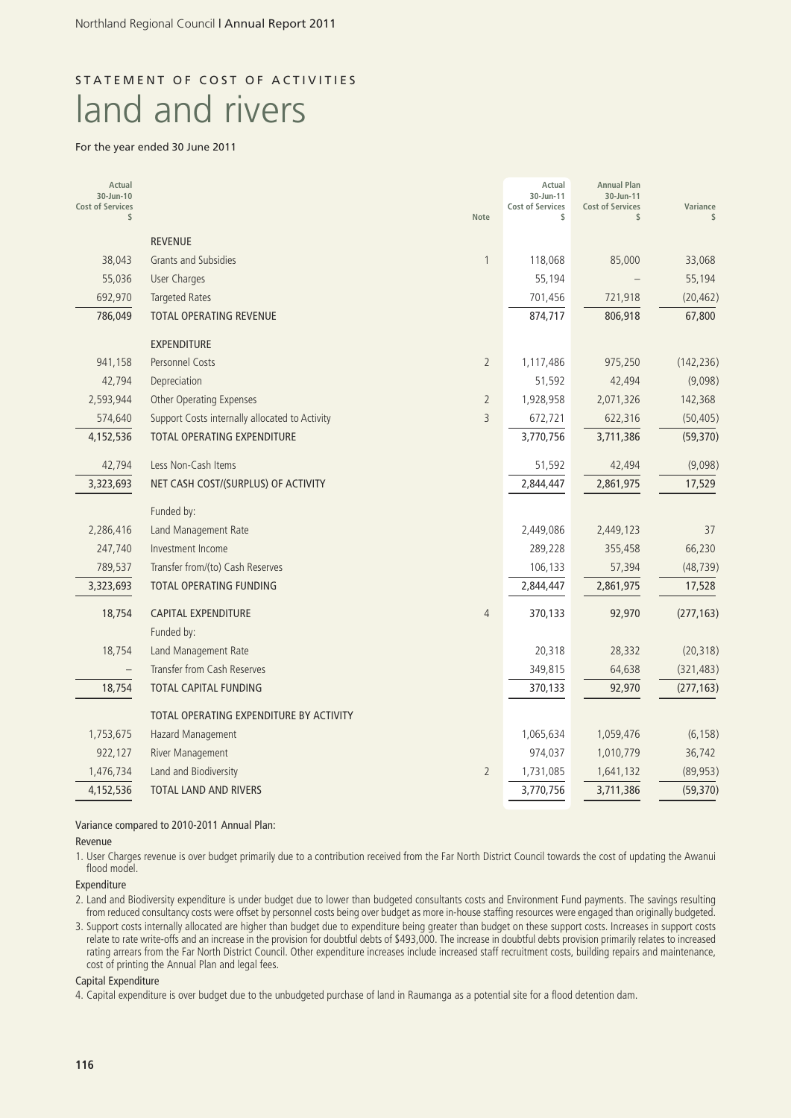# STATEMENT OF COST OF ACTIVITIES land and rivers

#### For the year ended 30 June 2011

| Actual<br>30-Jun-10<br><b>Cost of Services</b><br>\$ |                                                | Note           | Actual<br>30-Jun-11<br><b>Cost of Services</b><br>\$ | <b>Annual Plan</b><br>30-Jun-11<br><b>Cost of Services</b><br>\$ | Variance<br>\$ |
|------------------------------------------------------|------------------------------------------------|----------------|------------------------------------------------------|------------------------------------------------------------------|----------------|
|                                                      | <b>REVENUE</b>                                 |                |                                                      |                                                                  |                |
| 38,043                                               | <b>Grants and Subsidies</b>                    | $\mathbf{1}$   | 118,068                                              | 85,000                                                           | 33,068         |
| 55,036                                               | <b>User Charges</b>                            |                | 55,194                                               |                                                                  | 55,194         |
| 692,970                                              | <b>Targeted Rates</b>                          |                | 701,456                                              | 721,918                                                          | (20, 462)      |
| 786,049                                              | TOTAL OPERATING REVENUE                        |                | 874,717                                              | 806,918                                                          | 67,800         |
|                                                      | <b>EXPENDITURE</b>                             |                |                                                      |                                                                  |                |
| 941,158                                              | Personnel Costs                                | $\overline{2}$ | 1,117,486                                            | 975,250                                                          | (142, 236)     |
| 42,794                                               | Depreciation                                   |                | 51,592                                               | 42,494                                                           | (9,098)        |
| 2,593,944                                            | <b>Other Operating Expenses</b>                | $\overline{2}$ | 1,928,958                                            | 2,071,326                                                        | 142,368        |
| 574,640                                              | Support Costs internally allocated to Activity | 3              | 672,721                                              | 622,316                                                          | (50, 405)      |
| 4,152,536                                            | TOTAL OPERATING EXPENDITURE                    |                | 3,770,756                                            | 3,711,386                                                        | (59, 370)      |
| 42,794                                               | Less Non-Cash Items                            |                | 51,592                                               | 42,494                                                           | (9,098)        |
| 3,323,693                                            | NET CASH COST/(SURPLUS) OF ACTIVITY            |                | 2,844,447                                            | 2,861,975                                                        | 17,529         |
|                                                      | Funded by:                                     |                |                                                      |                                                                  |                |
| 2,286,416                                            | Land Management Rate                           |                | 2,449,086                                            | 2,449,123                                                        | 37             |
| 247,740                                              | Investment Income                              |                | 289,228                                              | 355,458                                                          | 66,230         |
| 789,537                                              | Transfer from/(to) Cash Reserves               |                | 106,133                                              | 57,394                                                           | (48, 739)      |
| 3,323,693                                            | <b>TOTAL OPERATING FUNDING</b>                 |                | 2,844,447                                            | 2,861,975                                                        | 17,528         |
| 18,754                                               | <b>CAPITAL EXPENDITURE</b>                     | $\overline{4}$ | 370,133                                              | 92,970                                                           | (277, 163)     |
|                                                      | Funded by:                                     |                |                                                      |                                                                  |                |
| 18,754                                               | Land Management Rate                           |                | 20,318                                               | 28,332                                                           | (20, 318)      |
|                                                      | Transfer from Cash Reserves                    |                | 349,815                                              | 64,638                                                           | (321, 483)     |
| 18,754                                               | TOTAL CAPITAL FUNDING                          |                | 370,133                                              | 92,970                                                           | (277, 163)     |
|                                                      | TOTAL OPERATING EXPENDITURE BY ACTIVITY        |                |                                                      |                                                                  |                |
| 1,753,675                                            | Hazard Management                              |                | 1,065,634                                            | 1,059,476                                                        | (6, 158)       |
| 922,127                                              | River Management                               |                | 974,037                                              | 1,010,779                                                        | 36,742         |
| 1,476,734                                            | Land and Biodiversity                          | $\overline{2}$ | 1,731,085                                            | 1,641,132                                                        | (89, 953)      |
| 4,152,536                                            | <b>TOTAL LAND AND RIVERS</b>                   |                | 3,770,756                                            | 3,711,386                                                        | (59, 370)      |

Variance compared to 2010-2011 Annual Plan:

Revenue

1. User Charges revenue is over budget primarily due to a contribution received from the Far North District Council towards the cost of updating the Awanui flood model.

Expenditure

2. Land and Biodiversity expenditure is under budget due to lower than budgeted consultants costs and Environment Fund payments. The savings resulting from reduced consultancy costs were offset by personnel costs being over budget as more in-house staffing resources were engaged than originally budgeted.

3. Support costs internally allocated are higher than budget due to expenditure being greater than budget on these support costs. Increases in support costs relate to rate write-offs and an increase in the provision for doubtful debts of \$493,000. The increase in doubtful debts provision primarily relates to increased rating arrears from the Far North District Council. Other expenditure increases include increased staff recruitment costs, building repairs and maintenance, cost of printing the Annual Plan and legal fees.

#### Capital Expenditure

4. Capital expenditure is over budget due to the unbudgeted purchase of land in Raumanga as a potential site for a flood detention dam.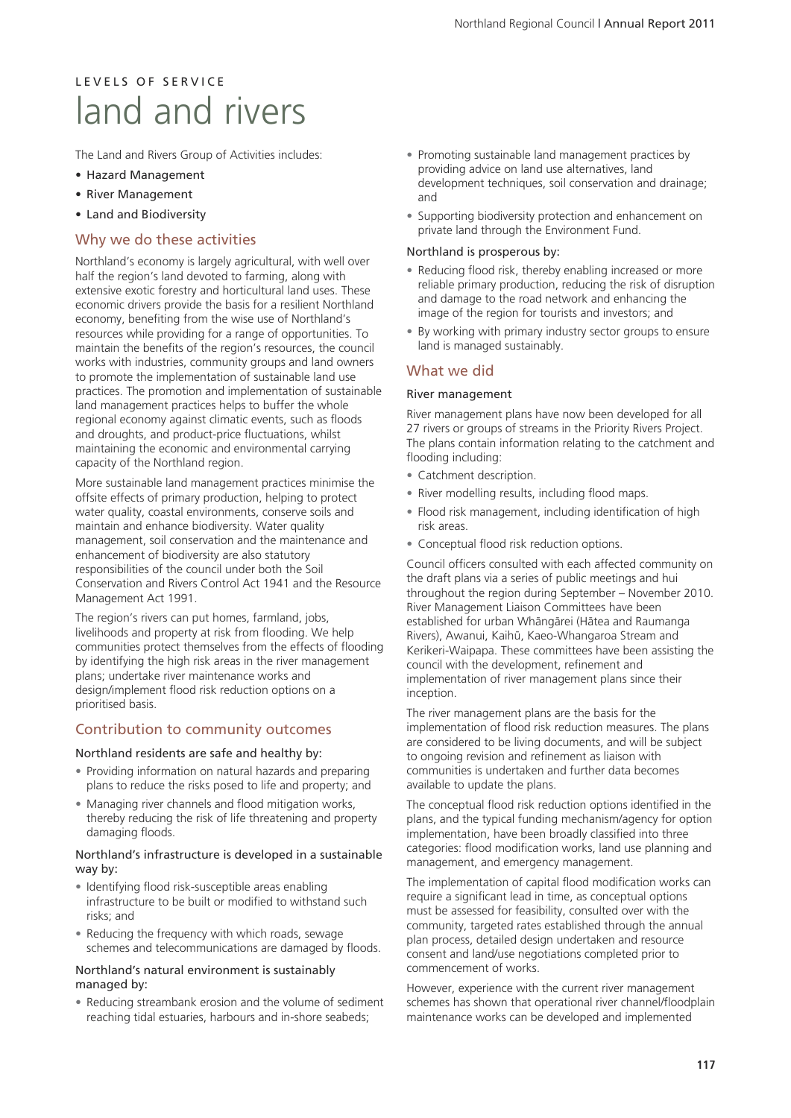# L E V E L S O E S E R V LC E land and rivers

The Land and Rivers Group of Activities includes:

- Hazard Management
- River Management
- Land and Biodiversity

### Why we do these activities

Northland's economy is largely agricultural, with well over half the region's land devoted to farming, along with extensive exotic forestry and horticultural land uses. These economic drivers provide the basis for a resilient Northland economy, benefiting from the wise use of Northland's resources while providing for a range of opportunities. To maintain the benefits of the region's resources, the council works with industries, community groups and land owners to promote the implementation of sustainable land use practices. The promotion and implementation of sustainable land management practices helps to buffer the whole regional economy against climatic events, such as floods and droughts, and product-price fluctuations, whilst maintaining the economic and environmental carrying capacity of the Northland region.

More sustainable land management practices minimise the offsite effects of primary production, helping to protect water quality, coastal environments, conserve soils and maintain and enhance biodiversity. Water quality management, soil conservation and the maintenance and enhancement of biodiversity are also statutory responsibilities of the council under both the Soil Conservation and Rivers Control Act 1941 and the Resource Management Act 1991.

The region's rivers can put homes, farmland, jobs, livelihoods and property at risk from flooding. We help communities protect themselves from the effects of flooding by identifying the high risk areas in the river management plans; undertake river maintenance works and design/implement flood risk reduction options on a prioritised basis.

### Contribution to community outcomes

#### Northland residents are safe and healthy by:

- Providing information on natural hazards and preparing plans to reduce the risks posed to life and property; and
- Managing river channels and flood mitigation works, thereby reducing the risk of life threatening and property damaging floods.

#### Northland's infrastructure is developed in a sustainable way by:

- Identifying flood risk-susceptible areas enabling infrastructure to be built or modified to withstand such risks; and
- Reducing the frequency with which roads, sewage schemes and telecommunications are damaged by floods.

#### Northland's natural environment is sustainably managed by:

• Reducing streambank erosion and the volume of sediment reaching tidal estuaries, harbours and in-shore seabeds;

- Promoting sustainable land management practices by providing advice on land use alternatives, land development techniques, soil conservation and drainage; and
- Supporting biodiversity protection and enhancement on private land through the Environment Fund.

#### Northland is prosperous by:

- Reducing flood risk, thereby enabling increased or more reliable primary production, reducing the risk of disruption and damage to the road network and enhancing the image of the region for tourists and investors; and
- By working with primary industry sector groups to ensure land is managed sustainably.

### What we did

#### River management

River management plans have now been developed for all 27 rivers or groups of streams in the Priority Rivers Project. The plans contain information relating to the catchment and flooding including:

- Catchment description.
- River modelling results, including flood maps.
- Flood risk management, including identification of high risk areas.
- Conceptual flood risk reduction options.

Council officers consulted with each affected community on the draft plans via a series of public meetings and hui throughout the region during September – November 2010. River Management Liaison Committees have been established for urban Whängärei (Hätea and Raumanga Rivers), Awanui, Kaihü, Kaeo-Whangaroa Stream and Kerikeri-Waipapa. These committees have been assisting the council with the development, refinement and implementation of river management plans since their inception.

The river management plans are the basis for the implementation of flood risk reduction measures. The plans are considered to be living documents, and will be subject to ongoing revision and refinement as liaison with communities is undertaken and further data becomes available to update the plans.

The conceptual flood risk reduction options identified in the plans, and the typical funding mechanism/agency for option implementation, have been broadly classified into three categories: flood modification works, land use planning and management, and emergency management.

The implementation of capital flood modification works can require a significant lead in time, as conceptual options must be assessed for feasibility, consulted over with the community, targeted rates established through the annual plan process, detailed design undertaken and resource consent and land/use negotiations completed prior to commencement of works.

However, experience with the current river management schemes has shown that operational river channel/floodplain maintenance works can be developed and implemented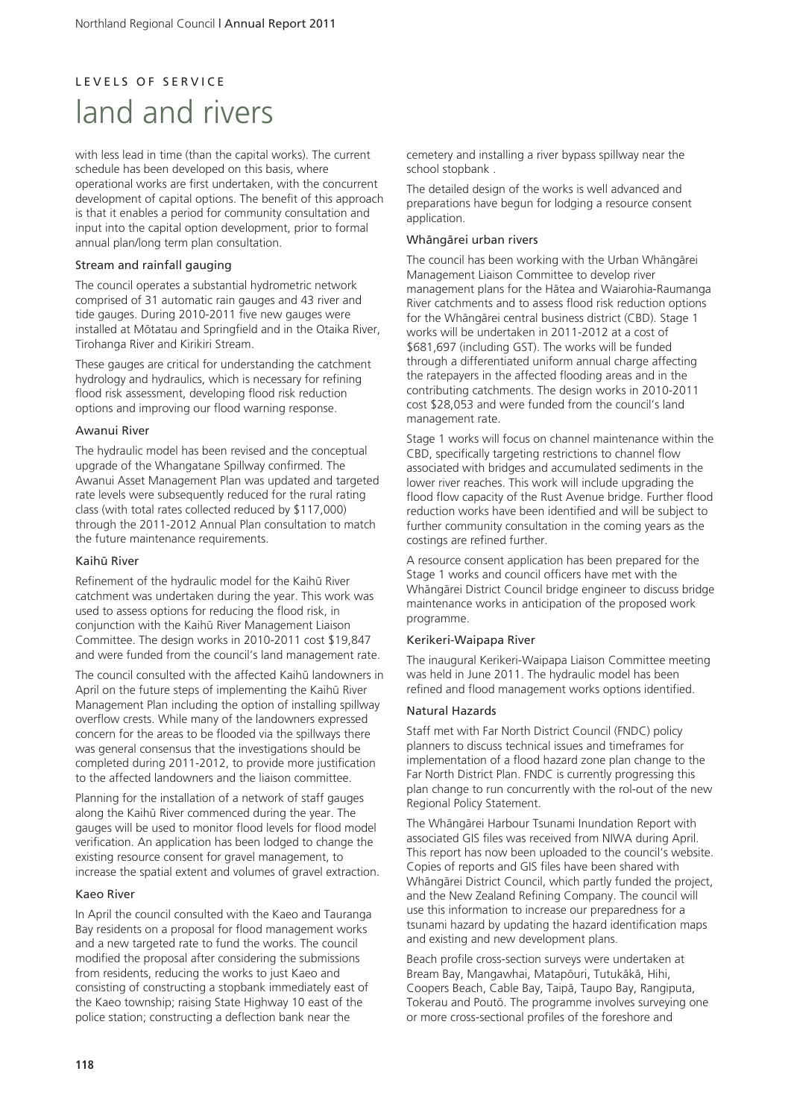# L E V E L S O E S E R V LC E land and rivers

with less lead in time (than the capital works). The current schedule has been developed on this basis, where operational works are first undertaken, with the concurrent development of capital options. The benefit of this approach is that it enables a period for community consultation and input into the capital option development, prior to formal annual plan/long term plan consultation.

#### Stream and rainfall gauging

The council operates a substantial hydrometric network comprised of 31 automatic rain gauges and 43 river and tide gauges. During 2010-2011 five new gauges were installed at Mötatau and Springfield and in the Otaika River, Tirohanga River and Kirikiri Stream.

These gauges are critical for understanding the catchment hydrology and hydraulics, which is necessary for refining flood risk assessment, developing flood risk reduction options and improving our flood warning response.

#### Awanui River

The hydraulic model has been revised and the conceptual upgrade of the Whangatane Spillway confirmed. The Awanui Asset Management Plan was updated and targeted rate levels were subsequently reduced for the rural rating class (with total rates collected reduced by \$117,000) through the 2011-2012 Annual Plan consultation to match the future maintenance requirements.

#### Kaihü River

Refinement of the hydraulic model for the Kaihü River catchment was undertaken during the year. This work was used to assess options for reducing the flood risk, in conjunction with the Kaihü River Management Liaison Committee. The design works in 2010-2011 cost \$19,847 and were funded from the council's land management rate.

The council consulted with the affected Kaihü landowners in April on the future steps of implementing the Kaihü River Management Plan including the option of installing spillway overflow crests. While many of the landowners expressed concern for the areas to be flooded via the spillways there was general consensus that the investigations should be completed during 2011-2012, to provide more justification to the affected landowners and the liaison committee.

Planning for the installation of a network of staff gauges along the Kaihü River commenced during the year. The gauges will be used to monitor flood levels for flood model verification. An application has been lodged to change the existing resource consent for gravel management, to increase the spatial extent and volumes of gravel extraction.

#### Kaeo River

In April the council consulted with the Kaeo and Tauranga Bay residents on a proposal for flood management works and a new targeted rate to fund the works. The council modified the proposal after considering the submissions from residents, reducing the works to just Kaeo and consisting of constructing a stopbank immediately east of the Kaeo township; raising State Highway 10 east of the police station; constructing a deflection bank near the

cemetery and installing a river bypass spillway near the school stopbank .

The detailed design of the works is well advanced and preparations have begun for lodging a resource consent application.

#### Whängärei urban rivers

The council has been working with the Urban Whängärei Management Liaison Committee to develop river management plans for the Hätea and Waiarohia-Raumanga River catchments and to assess flood risk reduction options for the Whängärei central business district (CBD). Stage 1 works will be undertaken in 2011-2012 at a cost of \$681,697 (including GST). The works will be funded through a differentiated uniform annual charge affecting the ratepayers in the affected flooding areas and in the contributing catchments. The design works in 2010-2011 cost \$28,053 and were funded from the council's land management rate.

Stage 1 works will focus on channel maintenance within the CBD, specifically targeting restrictions to channel flow associated with bridges and accumulated sediments in the lower river reaches. This work will include upgrading the flood flow capacity of the Rust Avenue bridge. Further flood reduction works have been identified and will be subject to further community consultation in the coming years as the costings are refined further.

A resource consent application has been prepared for the Stage 1 works and council officers have met with the Whängärei District Council bridge engineer to discuss bridge maintenance works in anticipation of the proposed work programme.

#### Kerikeri-Waipapa River

The inaugural Kerikeri-Waipapa Liaison Committee meeting was held in June 2011. The hydraulic model has been refined and flood management works options identified.

#### Natural Hazards

Staff met with Far North District Council (FNDC) policy planners to discuss technical issues and timeframes for implementation of a flood hazard zone plan change to the Far North District Plan. FNDC is currently progressing this plan change to run concurrently with the rol-out of the new Regional Policy Statement.

The Whängärei Harbour Tsunami Inundation Report with associated GIS files was received from NIWA during April. This report has now been uploaded to the council's website. Copies of reports and GIS files have been shared with Whängärei District Council, which partly funded the project, and the New Zealand Refining Company. The council will use this information to increase our preparedness for a tsunami hazard by updating the hazard identification maps and existing and new development plans.

Beach profile cross-section surveys were undertaken at Bream Bay, Mangawhai, Matapöuri, Tutukäkä, Hihi, Coopers Beach, Cable Bay, Taipä, Taupo Bay, Rangiputa, Tokerau and Poutö. The programme involves surveying one or more cross-sectional profiles of the foreshore and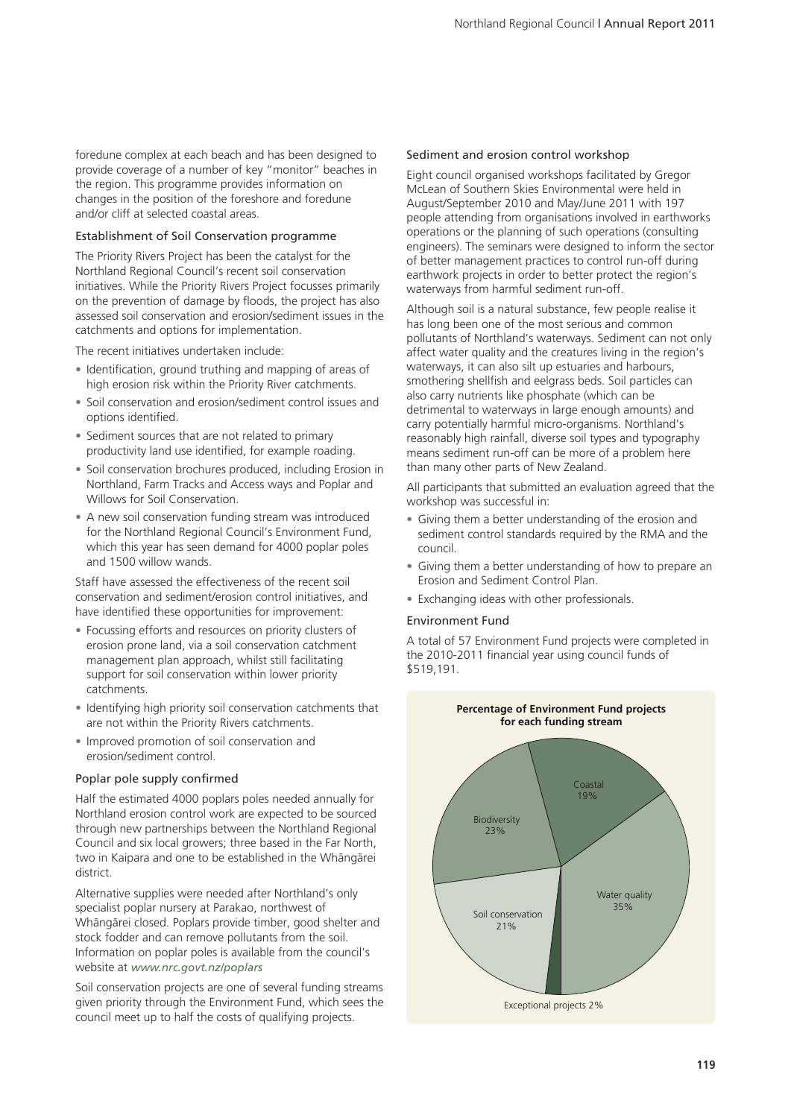foredune complex at each beach and has been designed to provide coverage of a number of key "monitor" beaches in the region. This programme provides information on changes in the position of the foreshore and foredune and/or cliff at selected coastal areas.

#### Establishment of Soil Conservation programme

The Priority Rivers Project has been the catalyst for the Northland Regional Council's recent soil conservation initiatives. While the Priority Rivers Project focusses primarily on the prevention of damage by floods, the project has also assessed soil conservation and erosion/sediment issues in the catchments and options for implementation.

The recent initiatives undertaken include:

- Identification, ground truthing and mapping of areas of high erosion risk within the Priority River catchments.
- Soil conservation and erosion/sediment control issues and options identified.
- Sediment sources that are not related to primary productivity land use identified, for example roading.
- Soil conservation brochures produced, including Erosion in Northland, Farm Tracks and Access ways and Poplar and Willows for Soil Conservation.
- A new soil conservation funding stream was introduced for the Northland Regional Council's Environment Fund, which this year has seen demand for 4000 poplar poles and 1500 willow wands.

Staff have assessed the effectiveness of the recent soil conservation and sediment/erosion control initiatives, and have identified these opportunities for improvement:

- Focussing efforts and resources on priority clusters of erosion prone land, via a soil conservation catchment management plan approach, whilst still facilitating support for soil conservation within lower priority catchments.
- Identifying high priority soil conservation catchments that are not within the Priority Rivers catchments.
- Improved promotion of soil conservation and erosion/sediment control.

#### Poplar pole supply confirmed

Half the estimated 4000 poplars poles needed annually for Northland erosion control work are expected to be sourced through new partnerships between the Northland Regional Council and six local growers; three based in the Far North, two in Kaipara and one to be established in the Whängärei district.

Alternative supplies were needed after Northland's only specialist poplar nursery at Parakao, northwest of Whängärei closed. Poplars provide timber, good shelter and stock fodder and can remove pollutants from the soil. Information on poplar poles is available from the council's website at *www.nrc.govt.nz/poplars*

Soil conservation projects are one of several funding streams given priority through the Environment Fund, which sees the council meet up to half the costs of qualifying projects.

#### Sediment and erosion control workshop

Eight council organised workshops facilitated by Gregor McLean of Southern Skies Environmental were held in August/September 2010 and May/June 2011 with 197 people attending from organisations involved in earthworks operations or the planning of such operations (consulting engineers). The seminars were designed to inform the sector of better management practices to control run-off during earthwork projects in order to better protect the region's waterways from harmful sediment run-off.

Although soil is a natural substance, few people realise it has long been one of the most serious and common pollutants of Northland's waterways. Sediment can not only affect water quality and the creatures living in the region's waterways, it can also silt up estuaries and harbours, smothering shellfish and eelgrass beds. Soil particles can also carry nutrients like phosphate (which can be detrimental to waterways in large enough amounts) and carry potentially harmful micro-organisms. Northland's reasonably high rainfall, diverse soil types and typography means sediment run-off can be more of a problem here than many other parts of New Zealand.

All participants that submitted an evaluation agreed that the workshop was successful in:

- Giving them a better understanding of the erosion and sediment control standards required by the RMA and the council.
- Giving them a better understanding of how to prepare an Erosion and Sediment Control Plan.
- Exchanging ideas with other professionals.

#### Environment Fund

A total of 57 Environment Fund projects were completed in the 2010-2011 financial year using council funds of \$519,191.

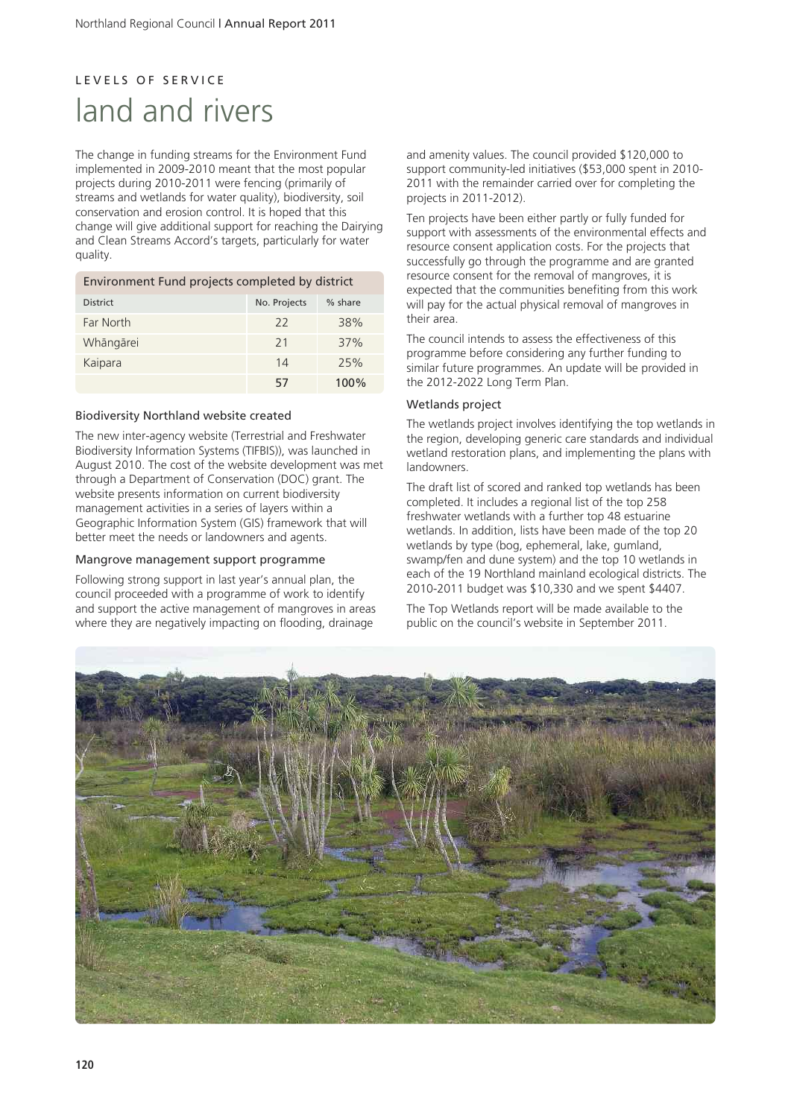# L E V E L S O F S E R V I C E land and rivers

The change in funding streams for the Environment Fund implemented in 2009-2010 meant that the most popular projects during 2010-2011 were fencing (primarily of streams and wetlands for water quality), biodiversity, soil conservation and erosion control. It is hoped that this change will give additional support for reaching the Dairying and Clean Streams Accord's targets, particularly for water quality.

| Environment Fund projects completed by district |              |           |
|-------------------------------------------------|--------------|-----------|
| <b>District</b>                                 | No. Projects | $%$ share |
| Far North                                       | 22           | 38%       |
| Whāngārei                                       | 21           | 37%       |
| Kaipara                                         | 14           | 25%       |
|                                                 | 57           | $100\%$   |

#### Biodiversity Northland website created

The new inter-agency website (Terrestrial and Freshwater Biodiversity Information Systems (TIFBIS)), was launched in August 2010. The cost of the website development was met through a Department of Conservation (DOC) grant. The website presents information on current biodiversity management activities in a series of layers within a Geographic Information System (GIS) framework that will better meet the needs or landowners and agents.

#### Mangrove management support programme

Following strong support in last year's annual plan, the council proceeded with a programme of work to identify and support the active management of mangroves in areas where they are negatively impacting on flooding, drainage

and amenity values. The council provided \$120,000 to support community-led initiatives (\$53,000 spent in 2010- 2011 with the remainder carried over for completing the projects in 2011-2012).

Ten projects have been either partly or fully funded for support with assessments of the environmental effects and resource consent application costs. For the projects that successfully go through the programme and are granted resource consent for the removal of mangroves, it is expected that the communities benefiting from this work will pay for the actual physical removal of mangroves in their area.

The council intends to assess the effectiveness of this programme before considering any further funding to similar future programmes. An update will be provided in the 2012-2022 Long Term Plan.

#### Wetlands project

The wetlands project involves identifying the top wetlands in the region, developing generic care standards and individual wetland restoration plans, and implementing the plans with **Landowners** 

The draft list of scored and ranked top wetlands has been completed. It includes a regional list of the top 258 freshwater wetlands with a further top 48 estuarine wetlands. In addition, lists have been made of the top 20 wetlands by type (bog, ephemeral, lake, gumland, swamp/fen and dune system) and the top 10 wetlands in each of the 19 Northland mainland ecological districts. The 2010-2011 budget was \$10,330 and we spent \$4407.

The Top Wetlands report will be made available to the public on the council's website in September 2011.

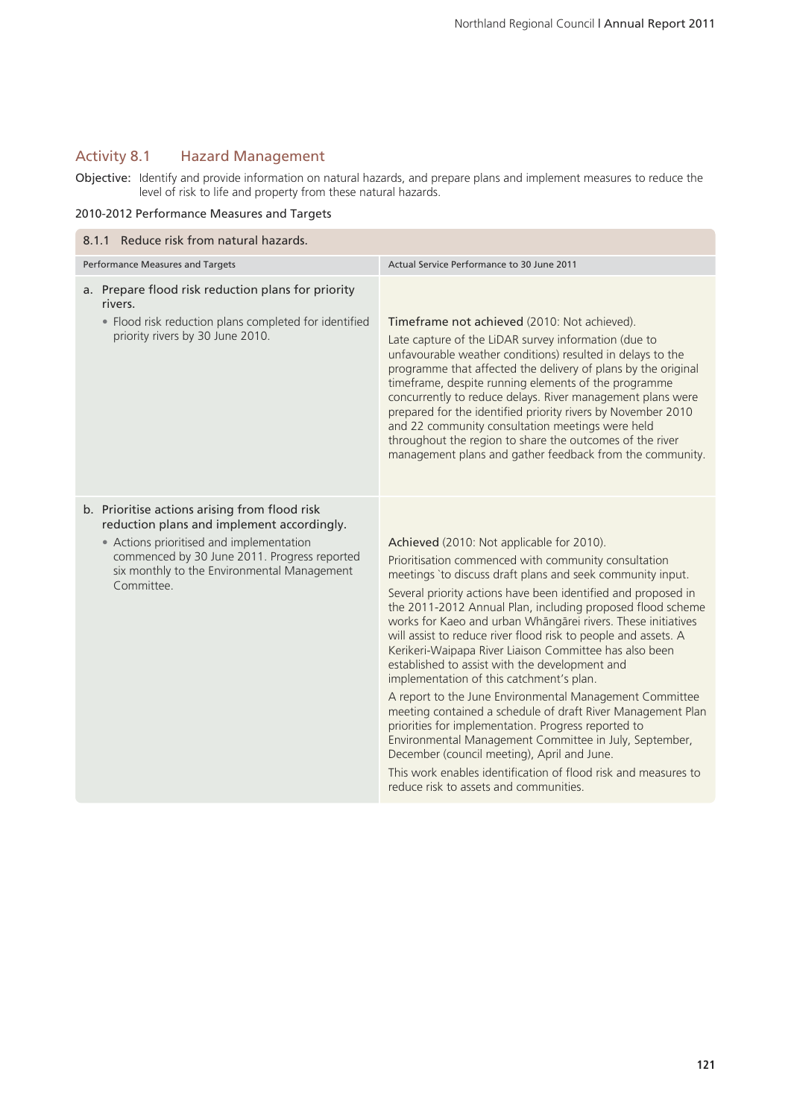### Activity 8.1 Hazard Management

Objective: Identify and provide information on natural hazards, and prepare plans and implement measures to reduce the level of risk to life and property from these natural hazards.

#### 2010-2012 Performance Measures and Targets

| 8.1.1 Reduce risk from natural hazards.                                                                                                                                                                                                              |                                                                                                                                                                                                                                                                                                                                                                                                                                                                                                                                                                                                                                                                                                                                                                                                                                                                                                                                                                                                |  |  |
|------------------------------------------------------------------------------------------------------------------------------------------------------------------------------------------------------------------------------------------------------|------------------------------------------------------------------------------------------------------------------------------------------------------------------------------------------------------------------------------------------------------------------------------------------------------------------------------------------------------------------------------------------------------------------------------------------------------------------------------------------------------------------------------------------------------------------------------------------------------------------------------------------------------------------------------------------------------------------------------------------------------------------------------------------------------------------------------------------------------------------------------------------------------------------------------------------------------------------------------------------------|--|--|
| Performance Measures and Targets                                                                                                                                                                                                                     | Actual Service Performance to 30 June 2011                                                                                                                                                                                                                                                                                                                                                                                                                                                                                                                                                                                                                                                                                                                                                                                                                                                                                                                                                     |  |  |
| a. Prepare flood risk reduction plans for priority<br>rivers.<br>• Flood risk reduction plans completed for identified<br>priority rivers by 30 June 2010.                                                                                           | Timeframe not achieved (2010: Not achieved).<br>Late capture of the LiDAR survey information (due to<br>unfavourable weather conditions) resulted in delays to the<br>programme that affected the delivery of plans by the original<br>timeframe, despite running elements of the programme<br>concurrently to reduce delays. River management plans were<br>prepared for the identified priority rivers by November 2010<br>and 22 community consultation meetings were held<br>throughout the region to share the outcomes of the river<br>management plans and gather feedback from the community.                                                                                                                                                                                                                                                                                                                                                                                          |  |  |
| b. Prioritise actions arising from flood risk<br>reduction plans and implement accordingly.<br>• Actions prioritised and implementation<br>commenced by 30 June 2011. Progress reported<br>six monthly to the Environmental Management<br>Committee. | Achieved (2010: Not applicable for 2010).<br>Prioritisation commenced with community consultation<br>meetings 'to discuss draft plans and seek community input.<br>Several priority actions have been identified and proposed in<br>the 2011-2012 Annual Plan, including proposed flood scheme<br>works for Kaeo and urban Whāngārei rivers. These initiatives<br>will assist to reduce river flood risk to people and assets. A<br>Kerikeri-Waipapa River Liaison Committee has also been<br>established to assist with the development and<br>implementation of this catchment's plan.<br>A report to the June Environmental Management Committee<br>meeting contained a schedule of draft River Management Plan<br>priorities for implementation. Progress reported to<br>Environmental Management Committee in July, September,<br>December (council meeting), April and June.<br>This work enables identification of flood risk and measures to<br>reduce risk to assets and communities. |  |  |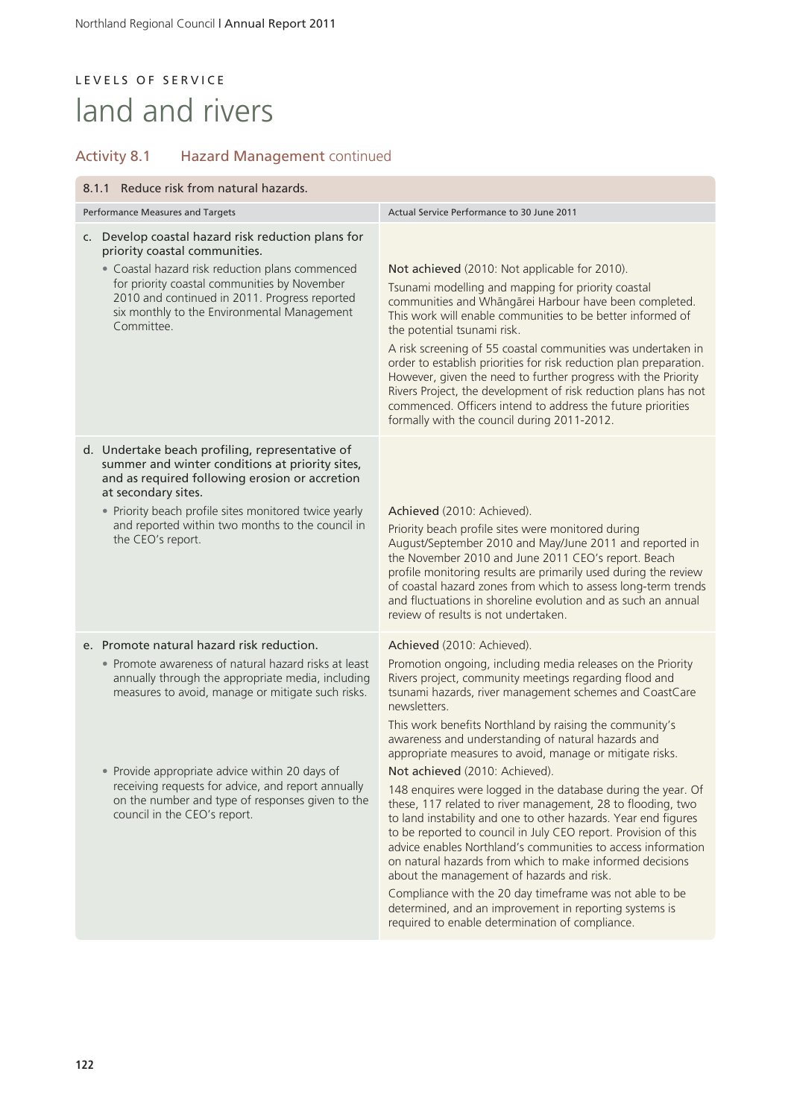# L E V E L S O F S E R V I C E land and rivers

# Activity 8.1 Hazard Management continued

| 8.1.1 Reduce risk from natural hazards.                                                                                                                                     |                                                                                                                                                                                                              |                                                                                                                                                                                                                                                                                                                                                                                                                                                                                                      |
|-----------------------------------------------------------------------------------------------------------------------------------------------------------------------------|--------------------------------------------------------------------------------------------------------------------------------------------------------------------------------------------------------------|------------------------------------------------------------------------------------------------------------------------------------------------------------------------------------------------------------------------------------------------------------------------------------------------------------------------------------------------------------------------------------------------------------------------------------------------------------------------------------------------------|
| Performance Measures and Targets                                                                                                                                            |                                                                                                                                                                                                              | Actual Service Performance to 30 June 2011                                                                                                                                                                                                                                                                                                                                                                                                                                                           |
| c. Develop coastal hazard risk reduction plans for<br>priority coastal communities.                                                                                         |                                                                                                                                                                                                              |                                                                                                                                                                                                                                                                                                                                                                                                                                                                                                      |
|                                                                                                                                                                             | • Coastal hazard risk reduction plans commenced<br>for priority coastal communities by November<br>2010 and continued in 2011. Progress reported<br>six monthly to the Environmental Management<br>Committee | Not achieved (2010: Not applicable for 2010).                                                                                                                                                                                                                                                                                                                                                                                                                                                        |
|                                                                                                                                                                             |                                                                                                                                                                                                              | Tsunami modelling and mapping for priority coastal<br>communities and Whāngārei Harbour have been completed.<br>This work will enable communities to be better informed of<br>the potential tsunami risk.                                                                                                                                                                                                                                                                                            |
|                                                                                                                                                                             |                                                                                                                                                                                                              | A risk screening of 55 coastal communities was undertaken in<br>order to establish priorities for risk reduction plan preparation.<br>However, given the need to further progress with the Priority<br>Rivers Project, the development of risk reduction plans has not<br>commenced. Officers intend to address the future priorities<br>formally with the council during 2011-2012.                                                                                                                 |
| d. Undertake beach profiling, representative of<br>summer and winter conditions at priority sites,<br>and as required following erosion or accretion<br>at secondary sites. |                                                                                                                                                                                                              |                                                                                                                                                                                                                                                                                                                                                                                                                                                                                                      |
| • Priority beach profile sites monitored twice yearly<br>and reported within two months to the council in<br>the CEO's report.                                              |                                                                                                                                                                                                              | Achieved (2010: Achieved).<br>Priority beach profile sites were monitored during<br>August/September 2010 and May/June 2011 and reported in<br>the November 2010 and June 2011 CEO's report. Beach<br>profile monitoring results are primarily used during the review<br>of coastal hazard zones from which to assess long-term trends<br>and fluctuations in shoreline evolution and as such an annual<br>review of results is not undertaken.                                                      |
| e. Promote natural hazard risk reduction.                                                                                                                                   |                                                                                                                                                                                                              | Achieved (2010: Achieved).                                                                                                                                                                                                                                                                                                                                                                                                                                                                           |
|                                                                                                                                                                             | • Promote awareness of natural hazard risks at least<br>annually through the appropriate media, including<br>measures to avoid, manage or mitigate such risks.                                               | Promotion ongoing, including media releases on the Priority<br>Rivers project, community meetings regarding flood and<br>tsunami hazards, river management schemes and CoastCare<br>newsletters.                                                                                                                                                                                                                                                                                                     |
|                                                                                                                                                                             |                                                                                                                                                                                                              | This work benefits Northland by raising the community's<br>awareness and understanding of natural hazards and<br>appropriate measures to avoid, manage or mitigate risks.                                                                                                                                                                                                                                                                                                                            |
|                                                                                                                                                                             | Provide appropriate advice within 20 days of<br>receiving requests for advice, and report annually<br>on the number and type of responses given to the<br>council in the CEO's report.                       | Not achieved (2010: Achieved).                                                                                                                                                                                                                                                                                                                                                                                                                                                                       |
|                                                                                                                                                                             |                                                                                                                                                                                                              | 148 enquires were logged in the database during the year. Of<br>these, 117 related to river management, 28 to flooding, two<br>to land instability and one to other hazards. Year end figures<br>to be reported to council in July CEO report. Provision of this<br>advice enables Northland's communities to access information<br>on natural hazards from which to make informed decisions<br>about the management of hazards and risk.<br>Compliance with the 20 day timeframe was not able to be |
|                                                                                                                                                                             |                                                                                                                                                                                                              | determined, and an improvement in reporting systems is<br>required to enable determination of compliance.                                                                                                                                                                                                                                                                                                                                                                                            |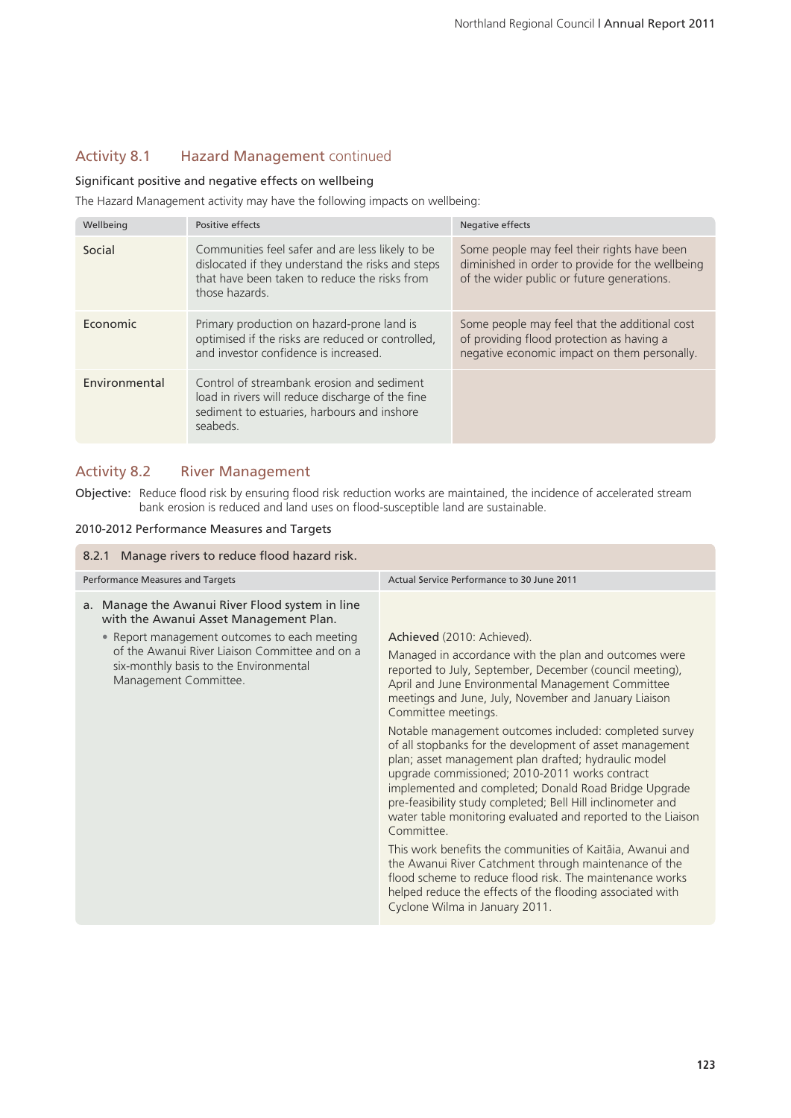## Activity 8.1 Hazard Management continued

#### Significant positive and negative effects on wellbeing

The Hazard Management activity may have the following impacts on wellbeing:

| Wellbeing     | Positive effects                                                                                                                                                         | Negative effects                                                                                                                              |
|---------------|--------------------------------------------------------------------------------------------------------------------------------------------------------------------------|-----------------------------------------------------------------------------------------------------------------------------------------------|
| Social        | Communities feel safer and are less likely to be<br>dislocated if they understand the risks and steps<br>that have been taken to reduce the risks from<br>those hazards. | Some people may feel their rights have been<br>diminished in order to provide for the wellbeing<br>of the wider public or future generations. |
| Economic      | Primary production on hazard-prone land is<br>optimised if the risks are reduced or controlled,<br>and investor confidence is increased.                                 | Some people may feel that the additional cost<br>of providing flood protection as having a<br>negative economic impact on them personally.    |
| Environmental | Control of streambank erosion and sediment<br>load in rivers will reduce discharge of the fine<br>sediment to estuaries, harbours and inshore<br>seabeds.                |                                                                                                                                               |

### Activity 8.2 River Management

Objective: Reduce flood risk by ensuring flood risk reduction works are maintained, the incidence of accelerated stream bank erosion is reduced and land uses on flood-susceptible land are sustainable.

#### 2010-2012 Performance Measures and Targets

| Manage rivers to reduce flood hazard risk.<br>8.2.1                                                                                                               |                                                                                                                                                                                                                                                                                                                                                                          |  |
|-------------------------------------------------------------------------------------------------------------------------------------------------------------------|--------------------------------------------------------------------------------------------------------------------------------------------------------------------------------------------------------------------------------------------------------------------------------------------------------------------------------------------------------------------------|--|
| Performance Measures and Targets                                                                                                                                  | Actual Service Performance to 30 June 2011                                                                                                                                                                                                                                                                                                                               |  |
| a. Manage the Awanui River Flood system in line<br>with the Awanui Asset Management Plan.                                                                         |                                                                                                                                                                                                                                                                                                                                                                          |  |
| • Report management outcomes to each meeting<br>of the Awanui River Liaison Committee and on a<br>six-monthly basis to the Environmental<br>Management Committee. | Achieved (2010: Achieved).<br>Managed in accordance with the plan and outcomes were<br>reported to July, September, December (council meeting),<br>April and June Environmental Management Committee<br>meetings and June, July, November and January Liaison<br>Committee meetings.<br>Notable management outcomes included: completed survey                           |  |
|                                                                                                                                                                   | of all stopbanks for the development of asset management<br>plan; asset management plan drafted; hydraulic model<br>upgrade commissioned; 2010-2011 works contract<br>implemented and completed; Donald Road Bridge Upgrade<br>pre-feasibility study completed; Bell Hill inclinometer and<br>water table monitoring evaluated and reported to the Liaison<br>Committee. |  |
|                                                                                                                                                                   | This work benefits the communities of Kaitāia, Awanui and<br>the Awanui River Catchment through maintenance of the<br>flood scheme to reduce flood risk. The maintenance works<br>helped reduce the effects of the flooding associated with<br>Cyclone Wilma in January 2011.                                                                                            |  |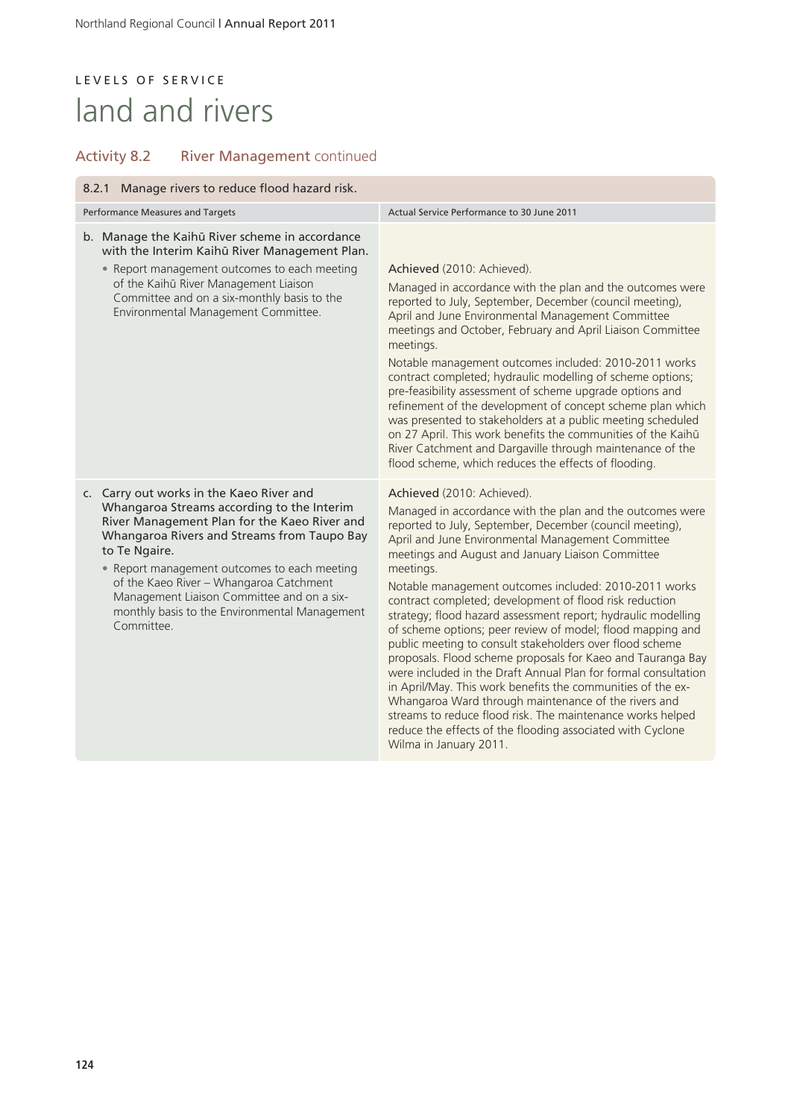# LEVELS OF SERVICE land and rivers

# Activity 8.2 River Management continued

| 8.2.1 Manage rivers to reduce flood hazard risk.                                                                                                                                                                                                                                                                                                                                                               |                                                                                                                                                                                                                                                                                                                                                                                                                                                                                                                                                                                                                                                                                                                                                                                                                                                                                                                                                                                                         |  |
|----------------------------------------------------------------------------------------------------------------------------------------------------------------------------------------------------------------------------------------------------------------------------------------------------------------------------------------------------------------------------------------------------------------|---------------------------------------------------------------------------------------------------------------------------------------------------------------------------------------------------------------------------------------------------------------------------------------------------------------------------------------------------------------------------------------------------------------------------------------------------------------------------------------------------------------------------------------------------------------------------------------------------------------------------------------------------------------------------------------------------------------------------------------------------------------------------------------------------------------------------------------------------------------------------------------------------------------------------------------------------------------------------------------------------------|--|
| Performance Measures and Targets                                                                                                                                                                                                                                                                                                                                                                               | Actual Service Performance to 30 June 2011                                                                                                                                                                                                                                                                                                                                                                                                                                                                                                                                                                                                                                                                                                                                                                                                                                                                                                                                                              |  |
| b. Manage the Kaihū River scheme in accordance<br>with the Interim Kaihū River Management Plan.<br>• Report management outcomes to each meeting<br>of the Kaihū River Management Liaison<br>Committee and on a six-monthly basis to the<br>Environmental Management Committee.                                                                                                                                 | Achieved (2010: Achieved).<br>Managed in accordance with the plan and the outcomes were<br>reported to July, September, December (council meeting),<br>April and June Environmental Management Committee<br>meetings and October, February and April Liaison Committee<br>meetings.<br>Notable management outcomes included: 2010-2011 works<br>contract completed; hydraulic modelling of scheme options;<br>pre-feasibility assessment of scheme upgrade options and<br>refinement of the development of concept scheme plan which<br>was presented to stakeholders at a public meeting scheduled<br>on 27 April. This work benefits the communities of the Kaihū<br>River Catchment and Dargaville through maintenance of the<br>flood scheme, which reduces the effects of flooding.                                                                                                                                                                                                                |  |
| c. Carry out works in the Kaeo River and<br>Whangaroa Streams according to the Interim<br>River Management Plan for the Kaeo River and<br>Whangaroa Rivers and Streams from Taupo Bay<br>to Te Ngaire.<br>• Report management outcomes to each meeting<br>of the Kaeo River - Whangaroa Catchment<br>Management Liaison Committee and on a six-<br>monthly basis to the Environmental Management<br>Committee. | Achieved (2010: Achieved).<br>Managed in accordance with the plan and the outcomes were<br>reported to July, September, December (council meeting),<br>April and June Environmental Management Committee<br>meetings and August and January Liaison Committee<br>meetings.<br>Notable management outcomes included: 2010-2011 works<br>contract completed; development of flood risk reduction<br>strategy; flood hazard assessment report; hydraulic modelling<br>of scheme options; peer review of model; flood mapping and<br>public meeting to consult stakeholders over flood scheme<br>proposals. Flood scheme proposals for Kaeo and Tauranga Bay<br>were included in the Draft Annual Plan for formal consultation<br>in April/May. This work benefits the communities of the ex-<br>Whangaroa Ward through maintenance of the rivers and<br>streams to reduce flood risk. The maintenance works helped<br>reduce the effects of the flooding associated with Cyclone<br>Wilma in January 2011. |  |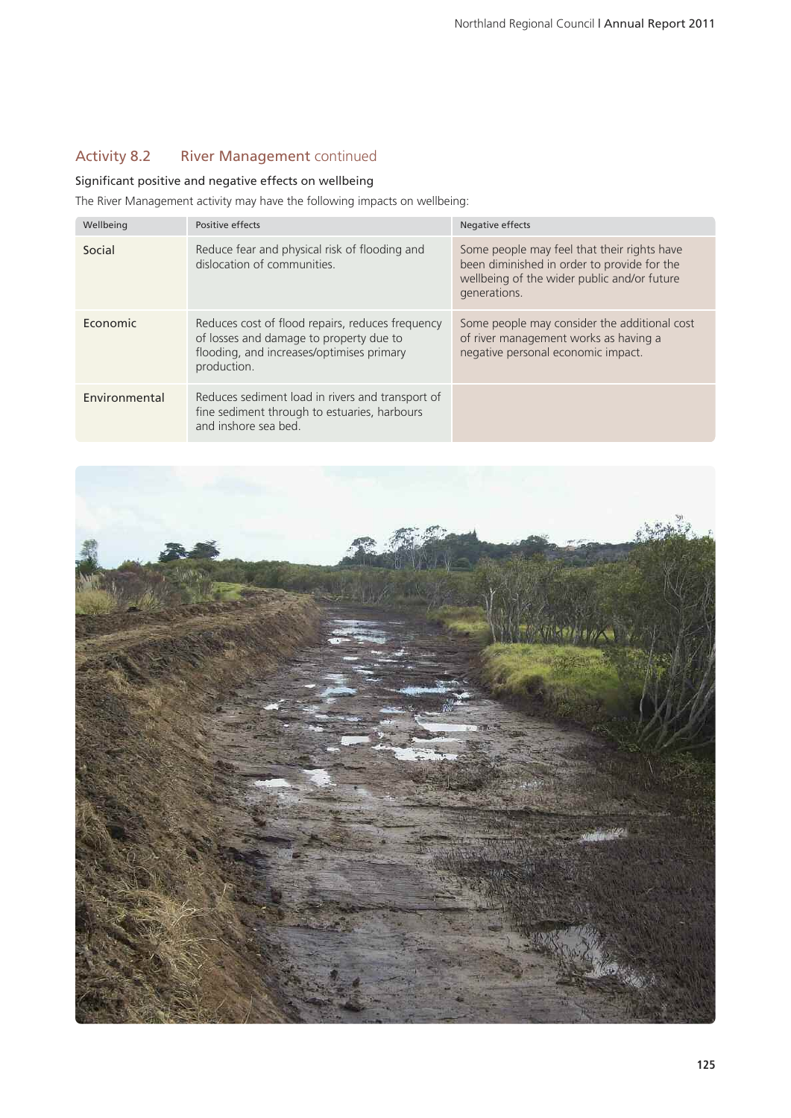## Activity 8.2 River Management continued

### Significant positive and negative effects on wellbeing

The River Management activity may have the following impacts on wellbeing:

| Wellbeing     | Positive effects                                                                                                                                        | Negative effects                                                                                                                                          |
|---------------|---------------------------------------------------------------------------------------------------------------------------------------------------------|-----------------------------------------------------------------------------------------------------------------------------------------------------------|
| Social        | Reduce fear and physical risk of flooding and<br>dislocation of communities.                                                                            | Some people may feel that their rights have<br>been diminished in order to provide for the<br>wellbeing of the wider public and/or future<br>generations. |
| Economic      | Reduces cost of flood repairs, reduces frequency<br>of losses and damage to property due to<br>flooding, and increases/optimises primary<br>production. | Some people may consider the additional cost<br>of river management works as having a<br>negative personal economic impact.                               |
| Environmental | Reduces sediment load in rivers and transport of<br>fine sediment through to estuaries, harbours<br>and inshore sea bed.                                |                                                                                                                                                           |

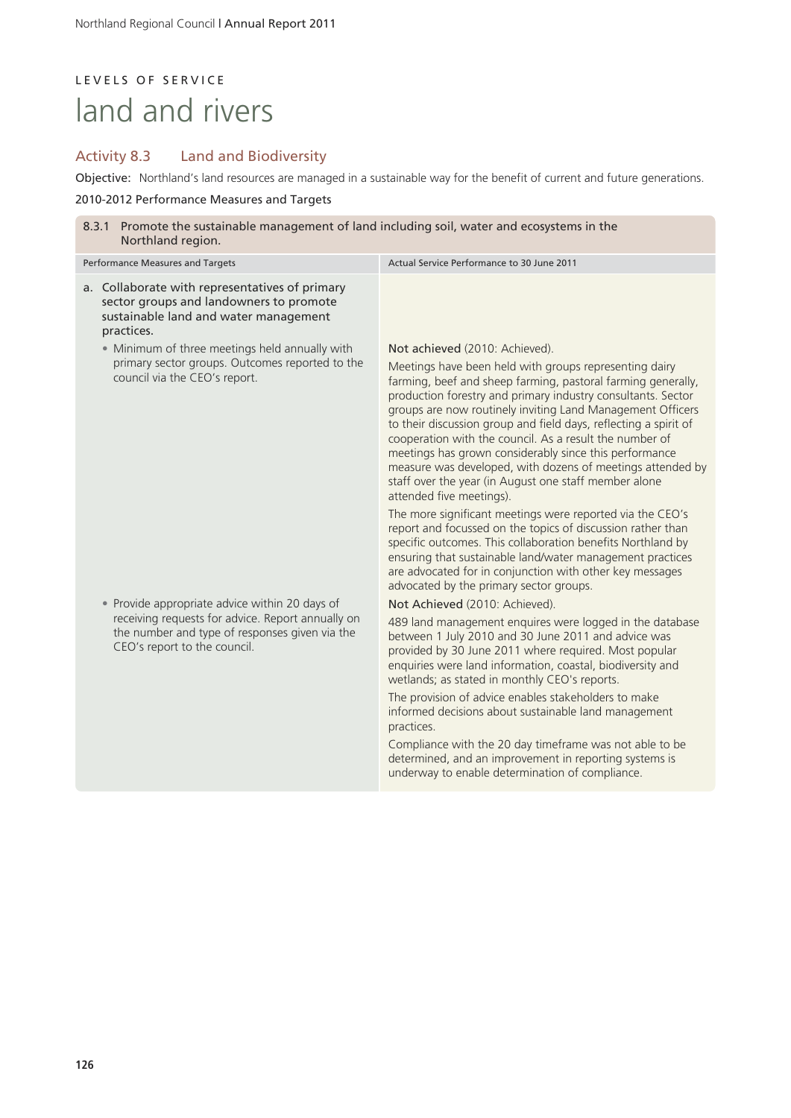# LEVELS OF SERVICE land and rivers

## Activity 8.3 Land and Biodiversity

Objective: Northland's land resources are managed in a sustainable way for the benefit of current and future generations.

#### 2010-2012 Performance Measures and Targets

| 8.3.1 Promote the sustainable management of land including soil, water and ecosystems in the<br>Northland region.                                                                     |                                                                                                                                                                                                                                                                                                                                                                                                                                                                                                                                                                                                                                    |  |
|---------------------------------------------------------------------------------------------------------------------------------------------------------------------------------------|------------------------------------------------------------------------------------------------------------------------------------------------------------------------------------------------------------------------------------------------------------------------------------------------------------------------------------------------------------------------------------------------------------------------------------------------------------------------------------------------------------------------------------------------------------------------------------------------------------------------------------|--|
| Performance Measures and Targets                                                                                                                                                      | Actual Service Performance to 30 June 2011                                                                                                                                                                                                                                                                                                                                                                                                                                                                                                                                                                                         |  |
| a. Collaborate with representatives of primary<br>sector groups and landowners to promote<br>sustainable land and water management<br>practices.                                      |                                                                                                                                                                                                                                                                                                                                                                                                                                                                                                                                                                                                                                    |  |
| • Minimum of three meetings held annually with<br>primary sector groups. Outcomes reported to the<br>council via the CEO's report.                                                    | Not achieved (2010: Achieved).<br>Meetings have been held with groups representing dairy<br>farming, beef and sheep farming, pastoral farming generally,<br>production forestry and primary industry consultants. Sector<br>groups are now routinely inviting Land Management Officers<br>to their discussion group and field days, reflecting a spirit of<br>cooperation with the council. As a result the number of<br>meetings has grown considerably since this performance<br>measure was developed, with dozens of meetings attended by<br>staff over the year (in August one staff member alone<br>attended five meetings). |  |
|                                                                                                                                                                                       | The more significant meetings were reported via the CEO's<br>report and focussed on the topics of discussion rather than<br>specific outcomes. This collaboration benefits Northland by<br>ensuring that sustainable land/water management practices<br>are advocated for in conjunction with other key messages<br>advocated by the primary sector groups.                                                                                                                                                                                                                                                                        |  |
| • Provide appropriate advice within 20 days of<br>receiving requests for advice. Report annually on<br>the number and type of responses given via the<br>CEO's report to the council. | Not Achieved (2010: Achieved).<br>489 land management enquires were logged in the database<br>between 1 July 2010 and 30 June 2011 and advice was<br>provided by 30 June 2011 where required. Most popular<br>enquiries were land information, coastal, biodiversity and<br>wetlands; as stated in monthly CEO's reports.<br>The provision of advice enables stakeholders to make<br>informed decisions about sustainable land management<br>practices.<br>Compliance with the 20 day timeframe was not able to be<br>determined, and an improvement in reporting systems is<br>underway to enable determination of compliance.    |  |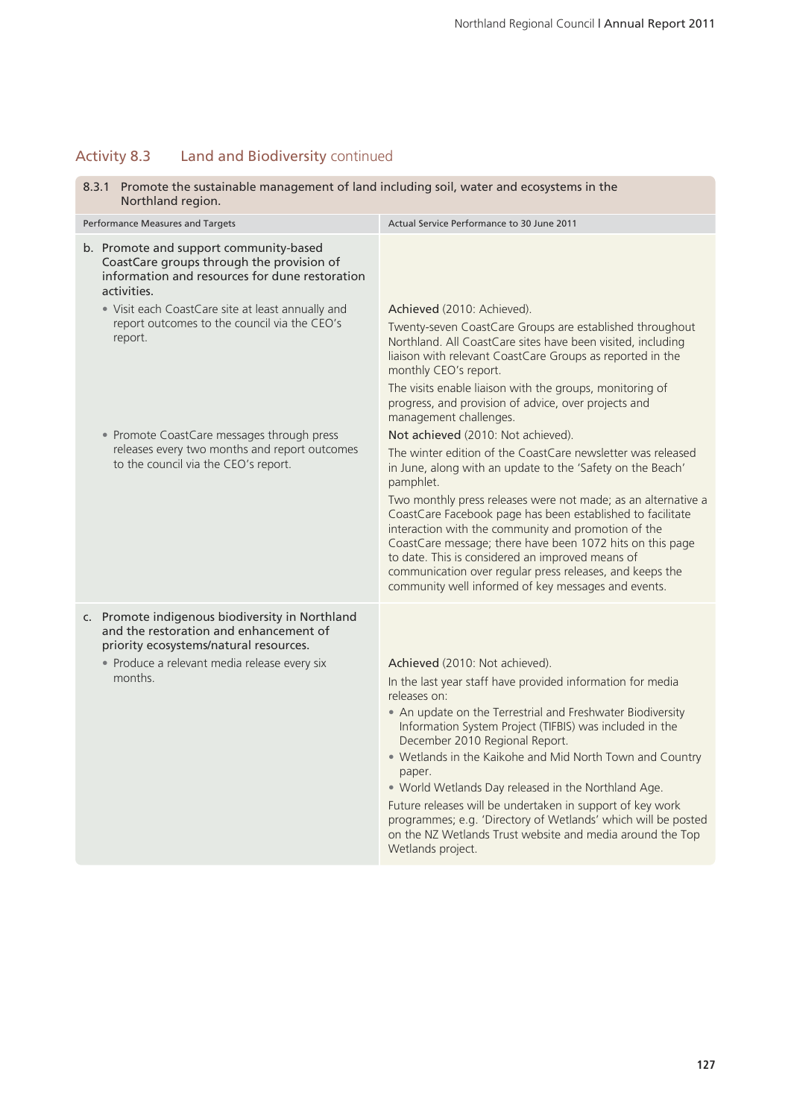### Activity 8.3 Land and Biodiversity continued

- 8.3.1 Promote the sustainable management of land including soil, water and ecosystems in the Northland region. Performance Measures and Targets Actual Service Performance to 30 June 2011 b. Promote and support community-based CoastCare groups through the provision of information and resources for dune restoration activities. • Visit each CoastCare site at least annually and report outcomes to the council via the CEO's report. • Promote CoastCare messages through press releases every two months and report outcomes to the council via the CEO's report. Achieved (2010: Achieved). Twenty-seven CoastCare Groups are established throughout Northland. All CoastCare sites have been visited, including liaison with relevant CoastCare Groups as reported in the monthly CEO's report. The visits enable liaison with the groups, monitoring of progress, and provision of advice, over projects and management challenges. Not achieved (2010: Not achieved). The winter edition of the CoastCare newsletter was released in June, along with an update to the 'Safety on the Beach' pamphlet. Two monthly press releases were not made; as an alternative a CoastCare Facebook page has been established to facilitate interaction with the community and promotion of the CoastCare message; there have been 1072 hits on this page to date. This is considered an improved means of communication over regular press releases, and keeps the
- c. Promote indigenous biodiversity in Northland and the restoration and enhancement of priority ecosystems/natural resources.

• Produce a relevant media release every six months.

Achieved (2010: Not achieved).

In the last year staff have provided information for media releases on:

community well informed of key messages and events.

- An update on the Terrestrial and Freshwater Biodiversity Information System Project (TIFBIS) was included in the December 2010 Regional Report.
- Wetlands in the Kaikohe and Mid North Town and Country paper.
- World Wetlands Day released in the Northland Age.

Future releases will be undertaken in support of key work programmes; e.g. 'Directory of Wetlands' which will be posted on the NZ Wetlands Trust website and media around the Top Wetlands project.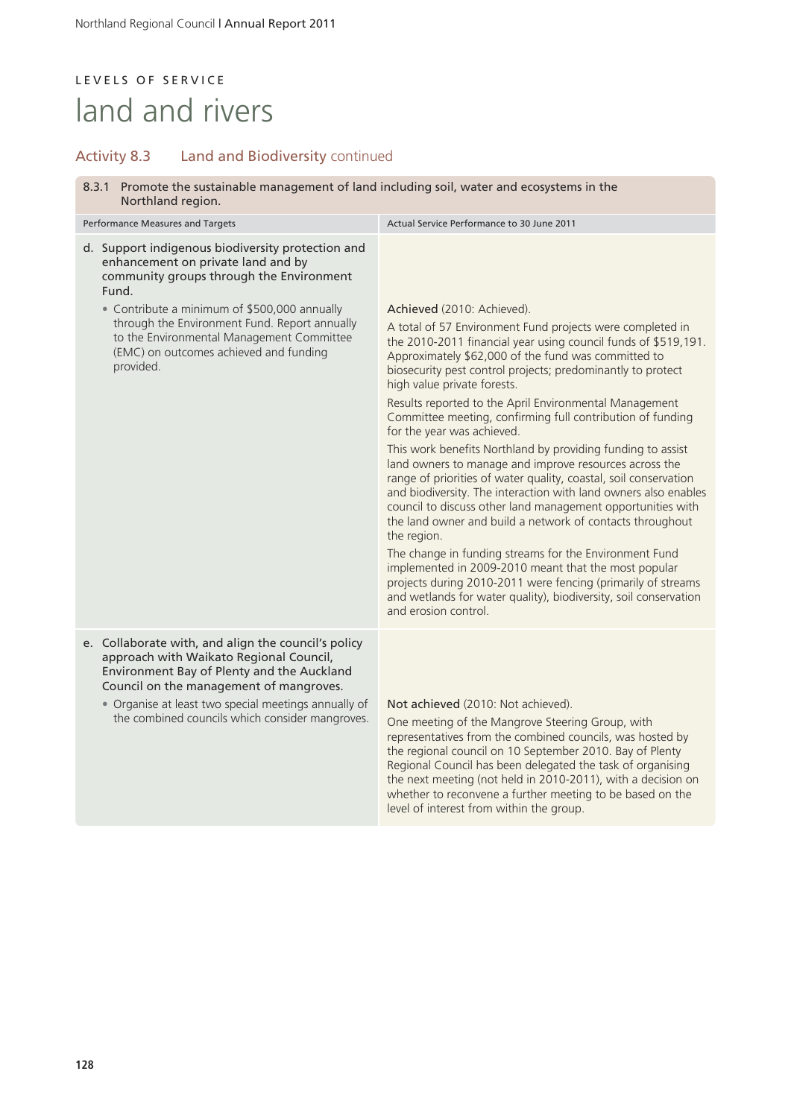# LEVELS OF SERVICE land and rivers

## Activity 8.3 Land and Biodiversity continued

8.3.1 Promote the sustainable management of land including soil, water and ecosystems in the Northland region.

| Performance Measures and Targets                                                                                                                                                                                                                                                                                                                  | Actual Service Performance to 30 June 2011                                                                                                                                                                                                                                                                                                                                                                                                                                                                                                                                                                                                                                                                                                                                                                                                                                                                                                                                                                                                                                                                                                                    |  |
|---------------------------------------------------------------------------------------------------------------------------------------------------------------------------------------------------------------------------------------------------------------------------------------------------------------------------------------------------|---------------------------------------------------------------------------------------------------------------------------------------------------------------------------------------------------------------------------------------------------------------------------------------------------------------------------------------------------------------------------------------------------------------------------------------------------------------------------------------------------------------------------------------------------------------------------------------------------------------------------------------------------------------------------------------------------------------------------------------------------------------------------------------------------------------------------------------------------------------------------------------------------------------------------------------------------------------------------------------------------------------------------------------------------------------------------------------------------------------------------------------------------------------|--|
| d. Support indigenous biodiversity protection and<br>enhancement on private land and by<br>community groups through the Environment<br>Fund.<br>• Contribute a minimum of \$500,000 annually<br>through the Environment Fund. Report annually<br>to the Environmental Management Committee<br>(EMC) on outcomes achieved and funding<br>provided. | Achieved (2010: Achieved).<br>A total of 57 Environment Fund projects were completed in<br>the 2010-2011 financial year using council funds of \$519,191.<br>Approximately \$62,000 of the fund was committed to<br>biosecurity pest control projects; predominantly to protect<br>high value private forests.<br>Results reported to the April Environmental Management<br>Committee meeting, confirming full contribution of funding<br>for the year was achieved.<br>This work benefits Northland by providing funding to assist<br>land owners to manage and improve resources across the<br>range of priorities of water quality, coastal, soil conservation<br>and biodiversity. The interaction with land owners also enables<br>council to discuss other land management opportunities with<br>the land owner and build a network of contacts throughout<br>the region.<br>The change in funding streams for the Environment Fund<br>implemented in 2009-2010 meant that the most popular<br>projects during 2010-2011 were fencing (primarily of streams<br>and wetlands for water quality), biodiversity, soil conservation<br>and erosion control. |  |
| e. Collaborate with, and align the council's policy<br>approach with Waikato Regional Council,<br>Environment Bay of Plenty and the Auckland<br>Council on the management of mangroves.<br>• Organise at least two special meetings annually of<br>the combined councils which consider mangroves.                                                | Not achieved (2010: Not achieved).<br>One meeting of the Mangrove Steering Group, with<br>representatives from the combined councils, was hosted by<br>the regional council on 10 September 2010. Bay of Plenty<br>Regional Council has been delegated the task of organising<br>the next meeting (not held in 2010-2011), with a decision on<br>whether to reconvene a further meeting to be based on the                                                                                                                                                                                                                                                                                                                                                                                                                                                                                                                                                                                                                                                                                                                                                    |  |

level of interest from within the group.